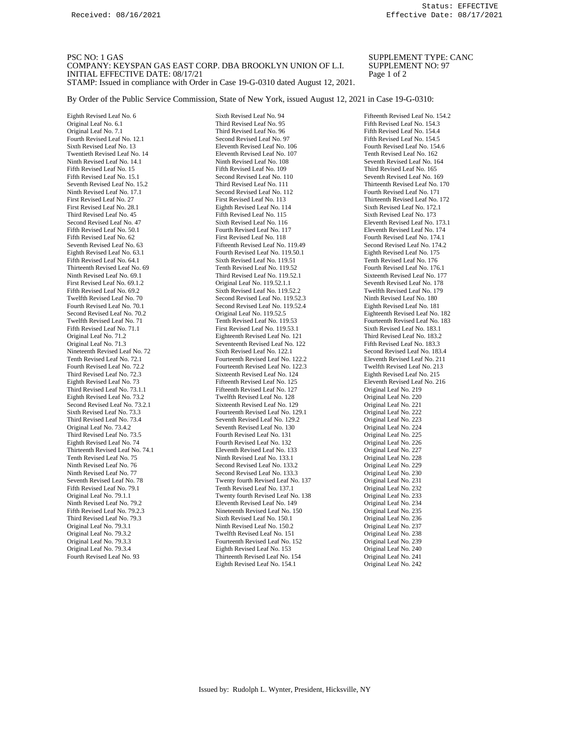PSC NO: 1 GAS SUPPLEMENT TYPE: CANC COMPANY: KEYSPAN GAS EAST CORP. DBA BROOKLYN UNION OF L.I. SUPPLEMENT NO: 97 COMPANY: KEYSPAN GAS EAST CORP. DBA BROOKLYN UNION OF L.I. SUPPLEMI<br>INITIAL EFFECTIVE DATE: 08/17/21 Page 1 of 2 INITIAL EFFECTIVE DATE: 08/17/21 STAMP: Issued in compliance with Order in Case 19-G-0310 dated August 12, 2021.

By Order of the Public Service Commission, State of New York, issued August 12, 2021 in Case 19-G-0310:

Eighth Revised Leaf No. 6 Sixth Revised Leaf No. 94 Fifteenth Revised Leaf No. 154.2<br>
Original Leaf No. 6.1 Third Revised Leaf No. 95 Fifth Revised Leaf No. 154.3 Fourth Revised Leaf No. 12.1 Second Revised Leaf No. 97 Ninth Revised Leaf No. 17.1 Second Revised Leaf No. 112<br>First Revised Leaf No. 27 First Revised Leaf No. 113 Ninth Revised Leaf No. 69.1 Third Revised Leaf No. 119.52.1 First Revised Leaf No. 69.1.2 Original Leaf No. 119.52.1.1 Fifth Revised Leaf No. 69.2 Sixth Revised Leaf No. 119.52.2<br>Twelfth Revised Leaf No. 70 Second Revised Leaf No. 119.52 Third Revised Leaf No. 73.4 Seventh Revised Leaf No. 129.2 Tenth Revised Leaf No. 75 Original Leaf No. 79.3.1 Ninth Revised Leaf No. 150.2<br>
Original Leaf No. 79.3.2 Twelfth Revised Leaf No. 151

Original Leaf No. 6.1 Third Revised Leaf No. 95 Fifth Revised Leaf No. 154.3<br>
Original Leaf No. 7.1 Third Revised Leaf No. 96 Fifth Revised Leaf No. 154.4 Sixth Revised Leaf No. 13 **Eleventh Revised Leaf No. 106** Fourth Revised Leaf No. 154.6 Twentieth Revised Leaf No. 14 Eleventh Revised Leaf No. 162 Eleventh Revised Leaf No. 162 Ninth Revised Leaf No. 14.1 Ninth Revised Leaf No. 108 Seventh Revised Leaf No. 164 Fifth Revised Leaf No. 15.1 Second Revised Leaf No. 110 Seventh Revised Leaf No. 169<br>16.152 Seventh Revised Leaf No. 152 Third Revised Leaf No. 111 Thirteenth Revised Leaf No. 1 Seventh Revised Leaf No. 15.2 Third Revised Leaf No. 111 Thirteenth Revised Leaf No. 170<br>
Second Revised Leaf No. 112 Fourth Revised Leaf No. 171 First Revised Leaf No. 28.1 Eighth Revised Leaf No. 114 Sixth Revised Leaf No. 172.1<br>
Third Revised Leaf No. 45 Fifth Revised Leaf No. 115 Sixth Revised Leaf No. 173 Fifth Revised Leaf No. 115 Second Revised Leaf No. 47 Sixth Revised Leaf No. 116 Eleventh Revised Leaf No. 173.1 Fifth Revised Leaf No. 50.1 Fourth Revised Leaf No. 117 Eleventh Revised Leaf No. 174 Fifth Revised Leaf No. 62 First Revised Leaf No. 118 Fourth Revised Leaf No. 174.1<br>Seventh Revised Leaf No. 63 Fifteenth Revised Leaf No. 119.49 Second Revised Leaf No. 174.2 Seventh Revised Leaf No. 63 Fifteenth Revised Leaf No. 119.49 Second Revised Leaf No. 174.<br>
Fighth Revised Leaf No. 63.1 Fourth Revised Leaf No. 119.50.1 Eighth Revised Leaf No. 175 Eighth Revised Leaf No. 63.1 Fourth Revised Leaf No. 119.50.1 Eighth Revised Leaf No. 175<br>Fifth Revised Leaf No. 64.1 Sixth Revised Leaf No. 119.51 Tenth Revised Leaf No. 176 Sixth Revised Leaf No. 119.51 Thirteenth Revised Leaf No. 69 Tenth Revised Leaf No. 176.1<br>
Third Revised Leaf No. 119.52.1 Sixteenth Revised Leaf No. 1776.1 First Revised Leaf No. 69.1.2 **Original Leaf No. 119.52.1.1** Seventh Revised Leaf No. 178<br>Fifth Revised Leaf No. 69.2 Sixth Revised Leaf No. 119.52.2 Twelfth Revised Leaf No. 179 Twelfth Revised Leaf No. 70 Second Revised Leaf No. 180<br>
Second Revised Leaf No. 120 Second Revised Leaf No. 119.52.3 Fighth Revised Leaf No. 180 Fourth Revised Leaf No. 70.1 Second Revised Leaf No. 19.52.4 Eighth Revised Leaf No. 181<br>Second Revised Leaf No. 70.2 Original Leaf No. 119.52.5 Fighteenth Revised Leaf No. Second Revised Leaf No. 70.2 Criginal Leaf No. 119.52.5 Eighteenth Revised Leaf No. 182<br>Twelfth Revised Leaf No. 71 Tenth Revised Leaf No. 119.53 Fourteenth Revised Leaf No. 183 Twelfth Revised Leaf No. 71 Tenth Revised Leaf No. 119.53 Fourteenth Revised Leaf No. 183.1 Fifth Revised Leaf No. 183.1 Sixth Revised Leaf No. 183.1 Fifth Revised Leaf No. 71.1 First Revised Leaf No. 119.53.1 Sixth Revised Leaf No. 183.1 Criginal Leaf No. 71.2 Fighteenth Revised Leaf No. 121 Third Revised Leaf No. 183.2 Eighteenth Revised Leaf No. 121 Original Leaf No. 11.3 Seventeenth Revised Leaf No. 122 Fifth Revised Leaf No. 183.3<br>
Sixth Revised Leaf No. 122.1 Second Revised Leaf No. 183.4 Nineteenth Revised Leaf No. 72<br>
Tenth Revised Leaf No. 72.1 Second Revised Leaf No. 122.2 Second Revised Leaf No. 211<br>
Eleventh Revised Leaf No. 211 Tenth Revised Leaf No. 72.1 Fourteenth Revised Leaf No. 211<br>Fourth Revised Leaf No. 213 Fourteenth Revised Leaf No. 213 Twelfth Revised Leaf No. 213 Fourth Revised Leaf No. 72.2 Fourteenth Revised Leaf No. 122.3 Twelfth Revised Leaf No. 21<br>Third Revised Leaf No. 72.3 Sixteenth Revised Leaf No. 124 Fighth Revised Leaf No. 215 Third Revised Leaf No. 72.3 Sixteenth Revised Leaf No. 124 Eighth Revised Leaf No. 215 Eighth Revised Leaf No. 73 **Fifteenth Revised Leaf No. 125**<br>19 Fifteenth Revised Leaf No. 219 Eifteenth Revised Leaf No. 127 Chiejnal Leaf No. 219 Fifteenth Revised Leaf No. 127. Eighth Revised Leaf No. 73.2 Twelfth Revised Leaf No. 128 Original Leaf No. 220 Second Revised Leaf No. 73.2.1 Sixteenth Revised Leaf No. 129 Original Leaf No. 221 Sixth Revised Leaf No. 73.3 Fourteenth Revised Leaf No. 129.1 Original Leaf No. 222<br>Third Revised Leaf No. 73.4 Seventh Revised Leaf No. 129.2 Original Leaf No. 223 Original Leaf No. 73.4.2 Seventh Revised Leaf No. 130 Original Leaf No. 224<br>
Third Revised Leaf No. 73.5 Fourth Revised Leaf No. 131 Original Leaf No. 225 Third Revised Leaf No. 73.5 Fourth Revised Leaf No. 131 Original Leaf No. 225<br>
Fighth Revised Leaf No. 74 Fourth Revised Leaf No. 132 Original Leaf No. 226 Fourth Revised Leaf No. 132 **Fourth Revised Leaf No. 133** Original Leaf No. 227 Original Leaf No. 227 Thirteenth Revised Leaf No. 74.1 Eleventh Revised Leaf No. 133 Original Leaf No. 227<br>
Tenth Revised Leaf No. 75 Ninth Revised Leaf No. 133.1 Original Leaf No. 228 Ninth Revised Leaf No. 76 Second Revised Leaf No. 133.2 Original Leaf No. 229 Ninth Revised Leaf No. 77 Second Revised Leaf No. 133.3 Original Leaf No. 230 Seventh Revised Leaf No. 78 Twenty fourth Revised Leaf No. 137 Original Leaf No. 231 Fifth Revised Leaf No. 79.1 Tenth Revised Leaf No. 137.1 Original Leaf No. 232<br>Original Leaf No. 79.1.1 Twenty fourth Revised Leaf No. 138 Original Leaf No. 233 Original Leaf No. 79.1.1 Twenty fourth Revised Leaf No. 138 Original Leaf No. 233<br>234 Eleventh Revised Leaf No. 149 Original Leaf No. 234 Ninth Revised Leaf No. 79.2 **Eleventh Revised Leaf No. 149** Original Leaf No. 234<br>Fifth Revised Leaf No. 79.2.3 Nineteenth Revised Leaf No. 150 Original Leaf No. 235 Fifth Revised Leaf No. 79.2.3 Nineteenth Revised Leaf No. 150 Original Leaf No. 235<br>Third Revised Leaf No. 79.3 Sixth Revised Leaf No. 150.1 Original Leaf No. 236 Third Revised Leaf No. 79.3 Sixth Revised Leaf No. 150.1 Original Leaf No. 236<br>
Original Leaf No. 79.3.1 Ninth Revised Leaf No. 150.2 Original Leaf No. 237 Original Leaf No. 79.3.2 Twelfth Revised Leaf No. 151 Original Leaf No. 238<br>
Original Leaf No. 79.3.3 Fourteenth Revised Leaf No. 152 Original Leaf No. 239 Fourteenth Revised Leaf No. 152 Original Leaf No. 79.3.4 Eighth Revised Leaf No. 153 Original Leaf No. 240 Fourth Revised Leaf No. 93 Thirteenth Revised Leaf No. 154 Original Leaf No. 241 Eighth Revised Leaf No. 154.1 Original Leaf No. 242

Fifth Revised Leaf No. 154.4<br>Fifth Revised Leaf No. 154.5 Third Revised Leaf No. 165 Thirteenth Revised Leaf No. 172